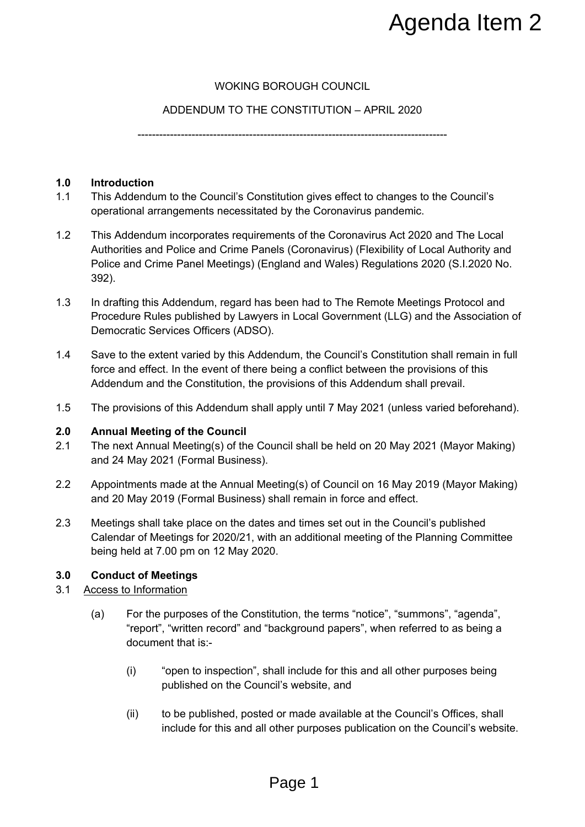# WOKING BOROUGH COUNCIL

## ADDENDUM TO THE CONSTITUTION – APRIL 2020

--------------------------------------------------------------------------------------

### **1.0 Introduction**

- 1.1 This Addendum to the Council's Constitution gives effect to changes to the Council's operational arrangements necessitated by the Coronavirus pandemic.
- 1.2 This Addendum incorporates requirements of the Coronavirus Act 2020 and The Local Authorities and Police and Crime Panels (Coronavirus) (Flexibility of Local Authority and Police and Crime Panel Meetings) (England and Wales) Regulations 2020 (S.I.2020 No. 392). **Agenda Item 2**<br>
OROUGH COUNCIL<br>
CONSTITUTION – APRIL 2020<br>
stitution gives effect to changes to the Council's<br>
at by the Coronavirus partemic.<br>
Hersity the Coronavirus (Flexibility of Local Authority and<br>
else (Coronaviru
- 1.3 In drafting this Addendum, regard has been had to The Remote Meetings Protocol and Procedure Rules published by Lawyers in Local Government (LLG) and the Association of Democratic Services Officers (ADSO).
- 1.4 Save to the extent varied by this Addendum, the Council's Constitution shall remain in full force and effect. In the event of there being a conflict between the provisions of this Addendum and the Constitution, the provisions of this Addendum shall prevail.
- 1.5 The provisions of this Addendum shall apply until 7 May 2021 (unless varied beforehand).

### **2.0 Annual Meeting of the Council**

- 2.1 The next Annual Meeting(s) of the Council shall be held on 20 May 2021 (Mayor Making) and 24 May 2021 (Formal Business).
- 2.2 Appointments made at the Annual Meeting(s) of Council on 16 May 2019 (Mayor Making) and 20 May 2019 (Formal Business) shall remain in force and effect.
- 2.3 Meetings shall take place on the dates and times set out in the Council's published Calendar of Meetings for 2020/21, with an additional meeting of the Planning Committee being held at 7.00 pm on 12 May 2020.

### **3.0 Conduct of Meetings**

### 3.1 Access to Information

- (a) For the purposes of the Constitution, the terms "notice", "summons", "agenda", "report", "written record" and "background papers", when referred to as being a document that is:-
	- (i) "open to inspection", shall include for this and all other purposes being published on the Council's website, and
	- (ii) to be published, posted or made available at the Council's Offices, shall include for this and all other purposes publication on the Council's website.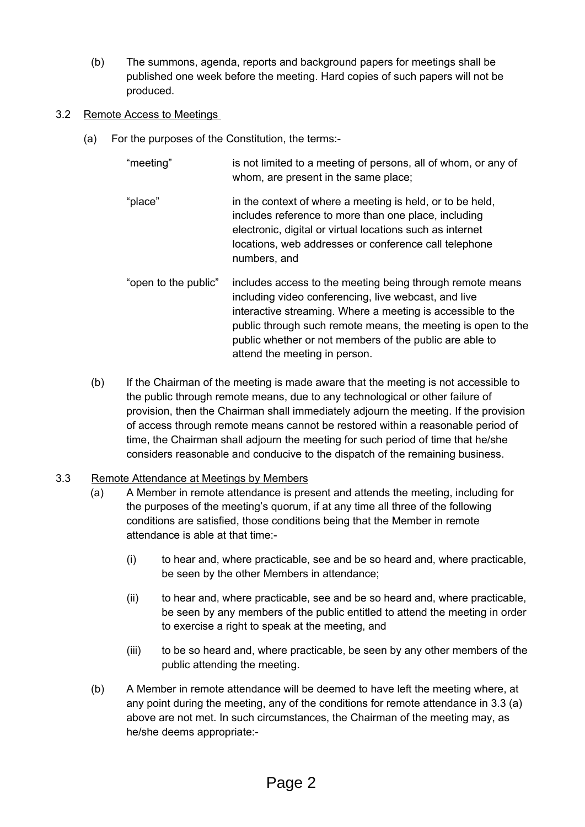- (b) The summons, agenda, reports and background papers for meetings shall be published one week before the meeting. Hard copies of such papers will not be produced.
- 3.2 Remote Access to Meetings
	- (a) For the purposes of the Constitution, the terms:-
		- "meeting" is not limited to a meeting of persons, all of whom, or any of whom, are present in the same place;
		- "place" in the context of where a meeting is held, or to be held, includes reference to more than one place, including electronic, digital or virtual locations such as internet locations, web addresses or conference call telephone numbers, and
		- "open to the public" includes access to the meeting being through remote means including video conferencing, live webcast, and live interactive streaming. Where a meeting is accessible to the public through such remote means, the meeting is open to the public whether or not members of the public are able to attend the meeting in person.
		- (b) If the Chairman of the meeting is made aware that the meeting is not accessible to the public through remote means, due to any technological or other failure of provision, then the Chairman shall immediately adjourn the meeting. If the provision of access through remote means cannot be restored within a reasonable period of time, the Chairman shall adjourn the meeting for such period of time that he/she considers reasonable and conducive to the dispatch of the remaining business.

## 3.3 Remote Attendance at Meetings by Members

- (a) A Member in remote attendance is present and attends the meeting, including for the purposes of the meeting's quorum, if at any time all three of the following conditions are satisfied, those conditions being that the Member in remote attendance is able at that time:-
	- (i) to hear and, where practicable, see and be so heard and, where practicable, be seen by the other Members in attendance;
	- (ii) to hear and, where practicable, see and be so heard and, where practicable, be seen by any members of the public entitled to attend the meeting in order to exercise a right to speak at the meeting, and
	- (iii) to be so heard and, where practicable, be seen by any other members of the public attending the meeting.
- (b) A Member in remote attendance will be deemed to have left the meeting where, at any point during the meeting, any of the conditions for remote attendance in 3.3 (a) above are not met. In such circumstances, the Chairman of the meeting may, as he/she deems appropriate:-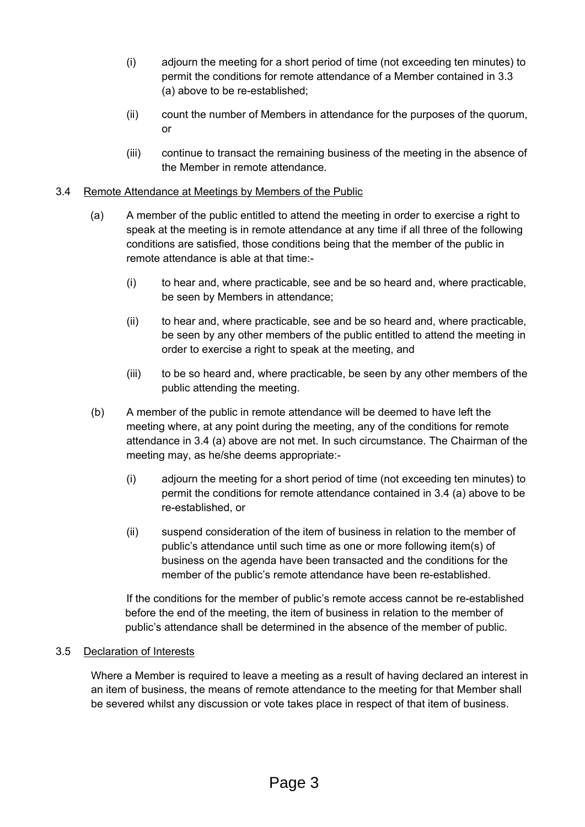- (i) adjourn the meeting for a short period of time (not exceeding ten minutes) to permit the conditions for remote attendance of a Member contained in 3.3 (a) above to be re-established;
- (ii) count the number of Members in attendance for the purposes of the quorum, or
- (iii) continue to transact the remaining business of the meeting in the absence of the Member in remote attendance.

## 3.4 Remote Attendance at Meetings by Members of the Public

- (a) A member of the public entitled to attend the meeting in order to exercise a right to speak at the meeting is in remote attendance at any time if all three of the following conditions are satisfied, those conditions being that the member of the public in remote attendance is able at that time:-
	- (i) to hear and, where practicable, see and be so heard and, where practicable, be seen by Members in attendance;
	- (ii) to hear and, where practicable, see and be so heard and, where practicable, be seen by any other members of the public entitled to attend the meeting in order to exercise a right to speak at the meeting, and
	- (iii) to be so heard and, where practicable, be seen by any other members of the public attending the meeting.
- (b) A member of the public in remote attendance will be deemed to have left the meeting where, at any point during the meeting, any of the conditions for remote attendance in 3.4 (a) above are not met. In such circumstance. The Chairman of the meeting may, as he/she deems appropriate:-
	- (i) adjourn the meeting for a short period of time (not exceeding ten minutes) to permit the conditions for remote attendance contained in 3.4 (a) above to be re-established, or
	- (ii) suspend consideration of the item of business in relation to the member of public's attendance until such time as one or more following item(s) of business on the agenda have been transacted and the conditions for the member of the public's remote attendance have been re-established.

If the conditions for the member of public's remote access cannot be re-established before the end of the meeting, the item of business in relation to the member of public's attendance shall be determined in the absence of the member of public.

## 3.5 Declaration of Interests

Where a Member is required to leave a meeting as a result of having declared an interest in an item of business, the means of remote attendance to the meeting for that Member shall be severed whilst any discussion or vote takes place in respect of that item of business.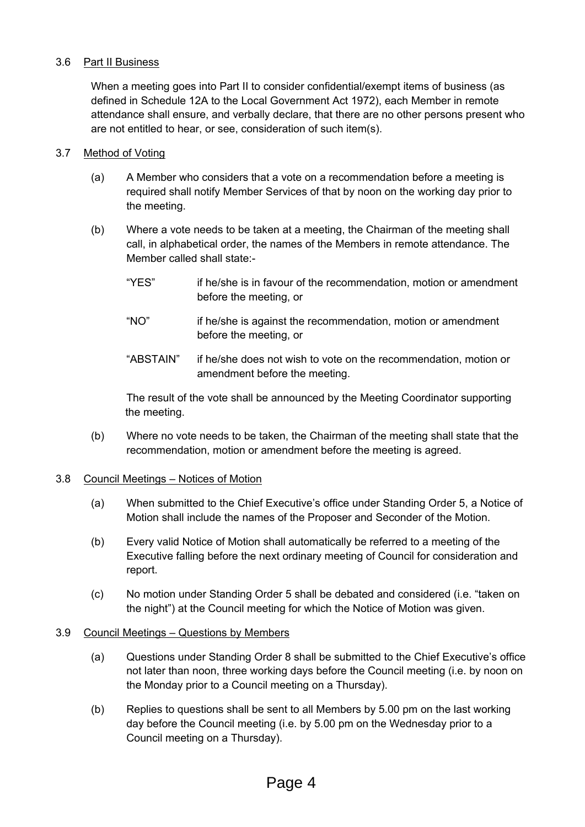## 3.6 Part II Business

When a meeting goes into Part II to consider confidential/exempt items of business (as defined in Schedule 12A to the Local Government Act 1972), each Member in remote attendance shall ensure, and verbally declare, that there are no other persons present who are not entitled to hear, or see, consideration of such item(s).

## 3.7 Method of Voting

- (a) A Member who considers that a vote on a recommendation before a meeting is required shall notify Member Services of that by noon on the working day prior to the meeting.
- (b) Where a vote needs to be taken at a meeting, the Chairman of the meeting shall call, in alphabetical order, the names of the Members in remote attendance. The Member called shall state:-
	- "YES" if he/she is in favour of the recommendation, motion or amendment before the meeting, or
	- "NO" if he/she is against the recommendation, motion or amendment before the meeting, or
	- "ABSTAIN" if he/she does not wish to vote on the recommendation, motion or amendment before the meeting.

The result of the vote shall be announced by the Meeting Coordinator supporting the meeting.

(b) Where no vote needs to be taken, the Chairman of the meeting shall state that the recommendation, motion or amendment before the meeting is agreed.

### 3.8 Council Meetings – Notices of Motion

- (a) When submitted to the Chief Executive's office under Standing Order 5, a Notice of Motion shall include the names of the Proposer and Seconder of the Motion.
- (b) Every valid Notice of Motion shall automatically be referred to a meeting of the Executive falling before the next ordinary meeting of Council for consideration and report.
- (c) No motion under Standing Order 5 shall be debated and considered (i.e. "taken on the night") at the Council meeting for which the Notice of Motion was given.

### 3.9 Council Meetings – Questions by Members

- (a) Questions under Standing Order 8 shall be submitted to the Chief Executive's office not later than noon, three working days before the Council meeting (i.e. by noon on the Monday prior to a Council meeting on a Thursday).
- (b) Replies to questions shall be sent to all Members by 5.00 pm on the last working day before the Council meeting (i.e. by 5.00 pm on the Wednesday prior to a Council meeting on a Thursday).